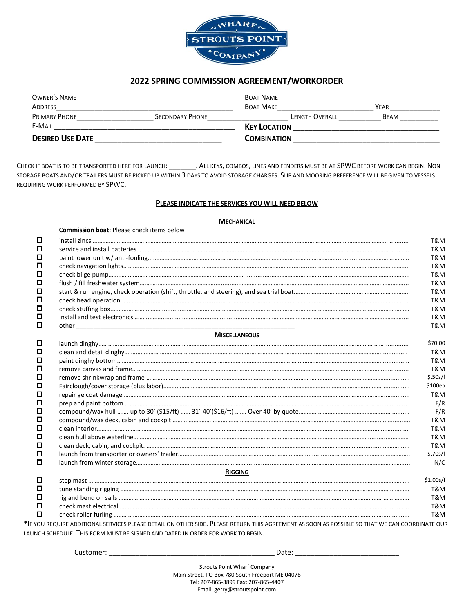

## **2022 SPRING COMMISSION AGREEMENT/WORKORDER**

| OWNER'S NAME            |                        | <b>BOAT NAME</b>      |             |
|-------------------------|------------------------|-----------------------|-------------|
| <b>ADDRESS</b>          |                        | <b>BOAT MAKE</b>      | YEAR        |
| <b>PRIMARY PHONE</b>    | <b>SECONDARY PHONE</b> | <b>LENGTH OVERALL</b> | <b>BEAM</b> |
| E-MAIL                  |                        | <b>KEY LOCATION</b>   |             |
| <b>DESIRED USE DATE</b> |                        | <b>COMBINATION</b>    |             |

CHECK IF BOAT IS TO BE TRANSPORTED HERE FOR LAUNCH: \_\_\_\_\_\_\_\_\_\_. ALL KEYS, COMBOS, LINES AND FENDERS MUST BE AT SPWC BEFORE WORK CAN BEGIN. NON STORAGE BOATS AND/OR TRAILERS MUST BE PICKED UP WITHIN 3 DAYS TO AVOID STORAGE CHARGES. SLIP AND MOORING PREFERENCE WILL BE GIVEN TO VESSELS REQUIRING WORK PERFORMED BY SPWC.

#### **PLEASE INDICATE THE SERVICES YOU WILL NEED BELOW**

#### **MECHANICAL**

|   | <b>Commission boat: Please check items below</b>                                                                                                  |           |  |
|---|---------------------------------------------------------------------------------------------------------------------------------------------------|-----------|--|
| □ |                                                                                                                                                   | T&M       |  |
| □ |                                                                                                                                                   | T&M       |  |
| □ |                                                                                                                                                   | T&M       |  |
| □ |                                                                                                                                                   | T&M       |  |
| □ |                                                                                                                                                   | T&M       |  |
| □ |                                                                                                                                                   | T&M       |  |
| □ |                                                                                                                                                   | T&M       |  |
| □ |                                                                                                                                                   | T&M       |  |
| □ |                                                                                                                                                   |           |  |
| □ |                                                                                                                                                   |           |  |
| □ |                                                                                                                                                   | T&M       |  |
|   | <b>MISCELLANEOUS</b>                                                                                                                              |           |  |
| □ |                                                                                                                                                   | \$70.00   |  |
| □ |                                                                                                                                                   | T&M       |  |
| □ |                                                                                                                                                   | T&M       |  |
| □ |                                                                                                                                                   | T&M       |  |
| □ |                                                                                                                                                   | \$.50s/f  |  |
| □ |                                                                                                                                                   | \$100ea   |  |
| □ |                                                                                                                                                   |           |  |
| □ |                                                                                                                                                   | F/R       |  |
| □ |                                                                                                                                                   | F/R       |  |
| □ |                                                                                                                                                   |           |  |
| □ |                                                                                                                                                   |           |  |
| □ |                                                                                                                                                   |           |  |
| □ |                                                                                                                                                   |           |  |
| □ |                                                                                                                                                   | \$.70s/f  |  |
| □ |                                                                                                                                                   | N/C       |  |
|   | <b>RIGGING</b>                                                                                                                                    |           |  |
| □ |                                                                                                                                                   | \$1.00s/f |  |
| □ |                                                                                                                                                   | T&M       |  |
| ш |                                                                                                                                                   | T&M       |  |
| □ |                                                                                                                                                   | T&M       |  |
| □ |                                                                                                                                                   | T&M       |  |
|   | VOLL DEOLIIDE ADDITIONAL SEDVICES DI EASE DETAIL ON OTHER SIDE. DI EASE DETLIDN THIS ACREEMENT AS SOON AS ROSSIDIE SO THAT WE CAN COORDINATE OLIE |           |  |

\*IF YOU REQUIRE ADDITIONAL SERVICES PLEASE DETAIL ON OTHER SIDE. PLEASE RETURN THIS AGREEMENT AS SOON AS POSSIBLE SO THAT WE CAN COORDINATE OUR LAUNCH SCHEDULE. THIS FORM MUST BE SIGNED AND DATED IN ORDER FOR WORK TO BEGIN.

Customer: \_\_\_\_\_\_\_\_\_\_\_\_\_\_\_\_\_\_\_\_\_\_\_\_\_\_\_\_\_\_\_\_\_\_\_\_\_\_\_\_\_\_\_ Date: \_\_\_\_\_\_\_\_\_\_\_\_\_\_\_\_\_\_\_\_\_\_\_\_\_\_\_

Strouts Point Wharf Company Main Street, PO Box 780 South Freeport ME 04078 Tel: 207-865-3899 Fax: 207-865-4407 Email[: gerry@stroutspoint.com](mailto:gerry@stroutspoint.com)